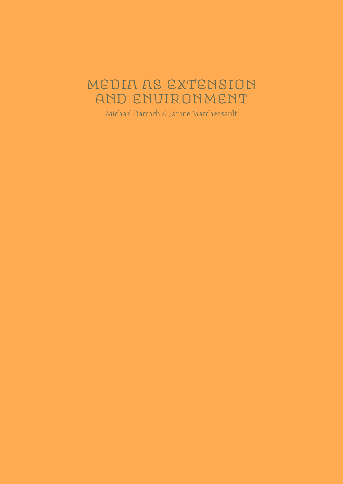# media as extension and environment

Michael Darroch & Janine Marchessault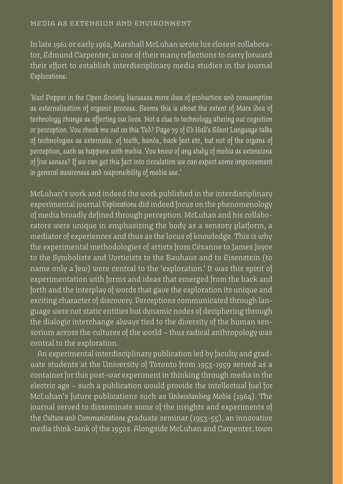### Media as Extension and Environment

In late 1961 or early 1962, Marshall McLuhan wrote his closest collaborator, Edmund Carpenter, in one of their many reflections to carry forward their effort to establish interdisciplinary media studies in the journal *Explorations*:

*'Karl Popper in the Open Society discusses more idea of production and consumption as externalization of organic process. Seems this is about the extent of Marx idea of technology change as affecting our lives. Not a clue to technology altering our cognition or perception. You check me out on this Ted? Page 79 of Ed Hall's Silent Language talks of technologies as externaliz. of teeth, hands, back feet etc, but not of the organs of perception, such as happens with media. You know of any study of media as extensions of five senses? If we can get this fact into circulation we can expect some improvement in general awareness and responsibility of media use.'*

McLuhan's work and indeed the work published in the interdisciplinary experimental journal *Explorations* did indeed focus on the phenomenology of media broadly defined through perception. McLuhan and his collaborators were unique in emphasizing the body as a sensory platform, a mediator of experiences and thus as the locus of knowledge. This is why the experimental methodologies of artists from Cézanne to James Joyce to the Symbolists and Vorticists to the Bauhaus and to Eisenstein (to name only a few) were central to the 'exploration.' It was this spirit of experimentation with forms and ideas that emerged from the back and forth and the interplay of words that gave the exploration its unique and exciting character of discovery. Perceptions communicated through language were not static entities but dynamic nodes of deciphering through the dialogic interchange always tied to the diversity of the human sensorium across the cultures of the world – thus radical anthropology was central to the exploration.

An experimental interdisciplinary publication led by faculty and graduate students at the University of Toronto from 1953-1959 served as a container for this post-war experiment in thinking through media in the electric age – such a publication would provide the intellectual fuel for McLuhan's future publications such as *Understanding Media* (1964). The journal served to disseminate some of the insights and experiments of the *Culture and Communications* graduate seminar (1953-55), an innovative media think-tank of the 1950s. Alongside McLuhan and Carpenter, town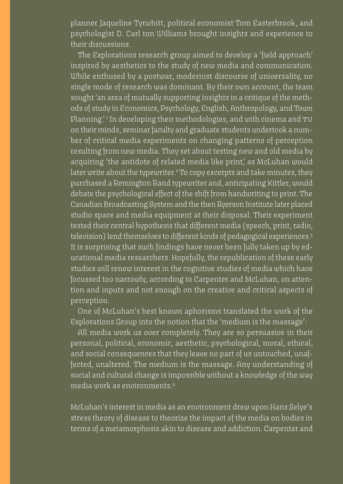planner Jaqueline Tyrwhitt, political economist Tom Easterbrook, and psychologist D. Carl ton Williams brought insights and experience to their discussions.

The Explorations research group aimed to develop a 'field approach' inspired by aesthetics to the study of new media and communication. While enthused by a postwar, modernist discourse of universality, no single mode of research was dominant. By their own account, the team sought 'an area of mutually supporting insights in a critique of the methods of study in Economics, Psychology, English, Anthropology, and Town Planning.' 1 In developing their methodologies, and with cinema and TV on their minds, seminar faculty and graduate students undertook a number of critical media experiments on changing patterns of perception resulting from new media. They set about testing new and old media by acquiring 'the antidote of related media like print', as McLuhan would later write about the typewriter.<sup>2</sup> To copy excerpts and take minutes, they purchased a Remington Rand typewriter and, anticipating Kittler, would debate the psychological effect of the shift from handwriting to print. The Canadian Broadcasting System and the then Ryerson Institute later placed studio space and media equipment at their disposal. Their experiment tested their central hypothesis that different media (speech, print, radio, television) lend themselves to different kinds of pedagogical experiences.3 It is surprising that such findings have never been fully taken up by educational media researchers. Hopefully, the republication of these early studies will renew interest in the cognitive studies of media which have focussed too narrowly, according to Carpenter and McLuhan, on attention and inputs and not enough on the creative and critical aspects of perception.

One of McLuhan's best known aphorisms translated the work of the Explorations Group into the notion that the 'medium is the massage':

All media work us over completely. They are so persuasive in their personal, political, economic, aesthetic, psychological, moral, ethical, and social consequences that they leave no part of us untouched, unaffected, unaltered. The medium is the massage. Any understanding of social and cultural change is impossible without a knowledge of the way media work as environments.4

McLuhan's interest in media as an environment drew upon Hans Selye's stress theory of disease to theorize the impact of the media on bodies in terms of a metamorphosis akin to disease and addiction. Carpenter and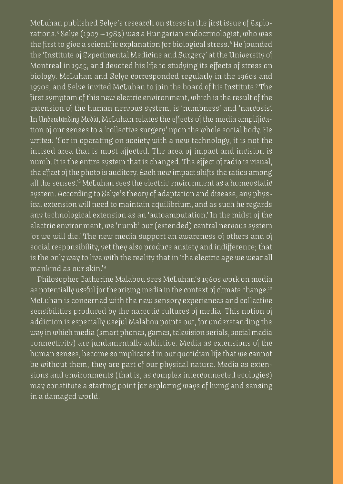McLuhan published Selye's research on stress in the first issue of Explorations.5 Selye (1907 — 1982) was a Hungarian endocrinologist, who was the first to give a scientific explanation for biological stress.6 He founded the 'Institute of Experimental Medicine and Surgery' at the University of Montreal in 1945, and devoted his life to studying its effects of stress on biology. McLuhan and Selye corresponded regularly in the 1960s and 1970s, and Selye invited McLuhan to join the board of his Institute.7 The first symptom of this new electric environment, which is the result of the extension of the human nervous system, is 'numbness' and 'narcosis'. In *Understanding Media*, McLuhan relates the effects of the media amplification of our senses to a 'collective surgery' upon the whole social body. He writes: 'For in operating on society with a new technology, it is not the incised area that is most affected. The area of impact and incision is numb. It is the entire system that is changed. The effect of radio is visual, the effect of the photo is auditory. Each new impact shifts the ratios among all the senses.'8 McLuhan sees the electric environment as a homeostatic system. According to Selye's theory of adaptation and disease, any physical extension will need to maintain equilibrium, and as such he regards any technological extension as an 'autoamputation.' In the midst of the electric environment, we 'numb' our (extended) central nervous system 'or we will die.' The new media support an awareness of others and of social responsibility, yet they also produce anxiety and indifference; that is the only way to live with the reality that in  $\overline{'}$  the electric age we wear all mankind as our skin.'9

Philosopher Catherine Malabou sees McLuhan's 1960s work on media as potentially useful for theorizing media in the context of climate change.<sup>10</sup> McLuhan is concerned with the new sensory experiences and collective sensibilities produced by the narcotic cultures of media. This notion of addiction is especially useful Malabou points out, for understanding the way in which media (smart phones, games, television serials, social media connectivity) are fundamentally addictive. Media as extensions of the human senses, become so implicated in our quotidian life that we cannot be without them; they are part of our physical nature. Media as extensions and environments (that is, as complex interconnected ecologies) may constitute a starting point for exploring ways of living and sensing in a damaged world.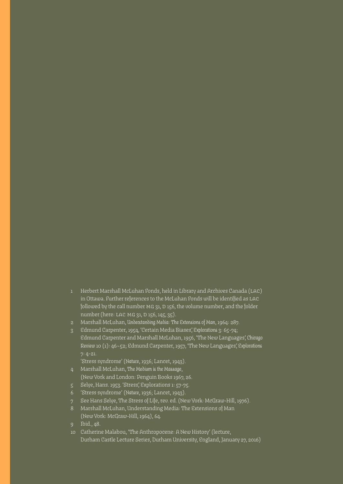- 1 Herbert Marshall McLuhan Fonds, held in Library and Archives Canada (LAC) in Ottawa. Further references to the McLuhan Fonds will be identified as LAC followed by the call number MG 31, D 156, the volume number, and the folder number (here: LAC MG 31, D 156, 145, 35).
- 2 Marshall McLuhan, *Understanding Media: The Extensions of Man*, 1964: 287.
- 3 Edmund Carpenter, 1954, 'Certain Media Biases,' *Explorations* 3: 65-74; Edmund Carpenter and Marshall McLuhan, 1956, 'The New Languages,' *Chicago Review* 10 (1): 46–52; Edmund Carpenter, 1957, 'The New Languages,' *Explorations* 7: 4-21.

'Stress syndrome' (*Nature*, 1936; Lancet, 1943).

- 4 Marshall McLuhan, *The Medium is the Massage*, (New York and London: Penguin Books 1967, 26.
- 5 Selye, Hans. 1953. 'Stress,' Explorations 1: 57-75.
- 6 'Stress syndrome' (*Nature*, 1936; Lancet, 1943).
- 7 See Hans Selye, The Stress of Life, rev. ed. (New York: McGraw-Hill, 1976).
- 8 Marshall McLuhan, Understanding Media: The Extensions of Man (New York: McGraw-Hill, 1964), 64.
- 9 Ibid., 48.
- 10 Catherine Malabou, 'The Anthropocene: A New History' (lecture, Durham Castle Lecture Series, Durham University, England, January 27, 2016)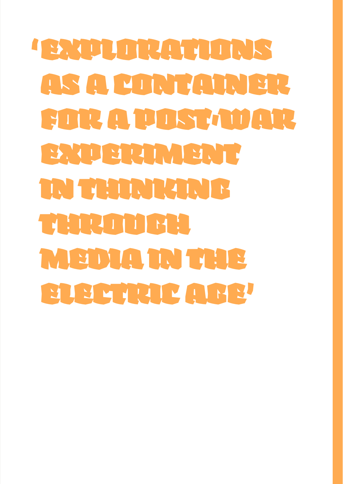'Explorations as a container for a post-war experiment in thinking through media in the electric age'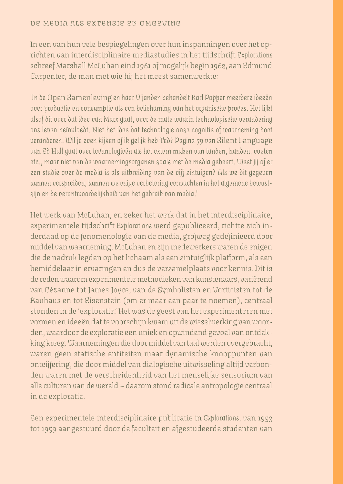## De Media als Extensie en Omgeving

In een van hun vele bespiegelingen over hun inspanningen over het oprichten van interdisciplinaire mediastudies in het tijdschrift *Explorations* schreef Marshall McLuhan eind 1961 of mogelijk begin 1962, aan Edmund Carpenter, de man met wie hij het meest samenwerkte:

*'In de* Open Samenleving *en haar Vijanden behandelt Karl Popper meerdere ideeën over productie en consumptie als een belichaming van het organische proces. Het lijkt alsof dit over dat idee van Marx gaat, over de mate waarin technologische verandering ons leven beïnvloedt. Niet het idee dat technologie onze cognitie of waarneming doet veranderen. Wil je even kijken of ik gelijk heb Ted? Pagina 79 van* Silent Language *van Ed Hall gaat over technologieën als het extern maken van tanden, handen, voeten etc., maar niet van de waarnemingsorganen zoals met de media gebeurt. Weet jij of er een studie over de media is als uitbreiding van de vijf zintuigen? Als we dit gegeven kunnen verspreiden, kunnen we enige verbetering verwachten in het algemene bewustzijn en de verantwoordelijkheid van het gebruik van media.'*

Het werk van McLuhan, en zeker het werk dat in het interdisciplinaire, experimentele tijdschrift *Explorations* werd gepubliceerd, richtte zich inderdaad op de fenomenologie van de media, grofweg gedefinieerd door middel van waarneming. McLuhan en zijn medewerkers waren de enigen die de nadruk legden op het lichaam als een zintuiglijk platform, als een bemiddelaar in ervaringen en dus de verzamelplaats voor kennis. Dit is de reden waarom experimentele methodieken van kunstenaars, variërend van Cézanne tot James Joyce, van de Symbolisten en Vorticisten tot de Bauhaus en tot Eisenstein (om er maar een paar te noemen), centraal stonden in de 'exploratie.' Het was de geest van het experimenteren met vormen en ideeën dat te voorschijn kwam uit de wisselwerking van woorden, waardoor de exploratie een uniek en opwindend gevoel van ontdekking kreeg. Waarnemingen die door middel van taal werden overgebracht, waren geen statische entiteiten maar dynamische knooppunten van ontcijfering, die door middel van dialogische uitwisseling altijd verbonden waren met de verscheidenheid van het menselijke sensorium van alle culturen van de wereld – daarom stond radicale antropologie centraal in de exploratie.

Een experimentele interdisciplinaire publicatie in *Explorations*, van 1953 tot 1959 aangestuurd door de faculteit en afgestudeerde studenten van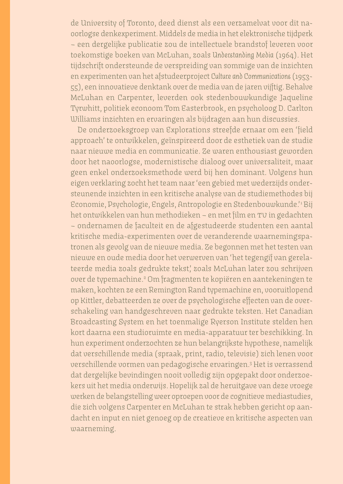de University of Toronto, deed dienst als een verzamelvat voor dit naoorlogse denkexperiment. Middels de media in het elektronische tijdperk – een dergelijke publicatie zou de intellectuele brandstof leveren voor toekomstige boeken van McLuhan, zoals *Understanding Media* (1964). Het tijdschrift ondersteunde de verspreiding van sommige van de inzichten en experimenten van het afstudeerproject *Culture and Communications* (1953- 55), een innovatieve denktank over de media van de jaren vijftig. Behalve McLuhan en Carpenter, leverden ook stedenbouwkundige Jaqueline Tyrwhitt, politiek econoom Tom Easterbrook, en psycholoog D. Carlton Williams inzichten en ervaringen als bijdragen aan hun discussies.

De onderzoeksgroep van Explorations streefde ernaar om een 'field approach' te ontwikkelen, geïnspireerd door de esthetiek van de studie naar nieuwe media en communicatie. Ze waren enthousiast geworden door het naoorlogse, modernistische dialoog over universaliteit, maar geen enkel onderzoeksmethode werd bij hen dominant. Volgens hun eigen verklaring zocht het team naar 'een gebied met wederzijds ondersteunende inzichten in een kritische analyse van de studiemethodes bij Economie, Psychologie, Engels, Antropologie en Stedenbouwkunde.' 1 Bij het ontwikkelen van hun methodieken – en met film en TV in gedachten – ondernamen de faculteit en de afgestudeerde studenten een aantal kritische media-experimenten over de veranderende waarnemingspatronen als gevolg van de nieuwe media. Ze begonnen met het testen van nieuwe en oude media door het verwerven van 'het tegengif van gerelateerde media zoals gedrukte tekst,' zoals McLuhan later zou schrijven over de typemachine.2 Om fragmenten te kopiëren en aantekeningen te maken, kochten ze een Remington Rand typemachine en, vooruitlopend op Kittler, debatteerden ze over de psychologische effecten van de overschakeling van handgeschreven naar gedrukte teksten. Het Canadian Broadcasting System en het toenmalige Ryerson Institute stelden hen kort daarna een studioruimte en media-apparatuur ter beschikking. In hun experiment onderzochten ze hun belangrijkste hypothese, namelijk dat verschillende media (spraak, print, radio, televisie) zich lenen voor verschillende vormen van pedagogische ervaringen.3 Het is verrassend dat dergelijke bevindingen nooit volledig zijn opgepakt door onderzoekers uit het media onderwijs. Hopelijk zal de heruitgave van deze vroege werken de belangstelling weer oproepen voor de cognitieve mediastudies, die zich volgens Carpenter en McLuhan te strak hebben gericht op aandacht en input en niet genoeg op de creatieve en kritische aspecten van waarneming.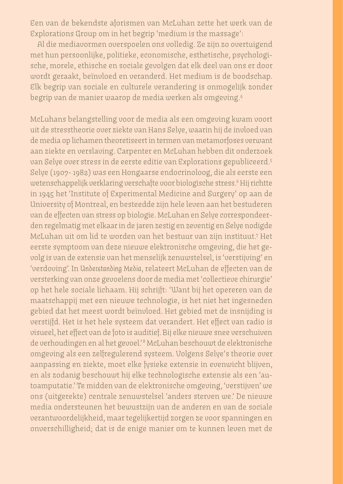Een van de bekendste aforismen van McLuhan zette het werk van de Explorations Group om in het begrip 'medium is the massage':

Al die mediavormen overspoelen ons volledig. Ze zijn zo overtuigend met hun persoonlijke, politieke, economische, esthetische, psychologische, morele, ethische en sociale gevolgen dat elk deel van ons er door wordt geraakt, beïnvloed en veranderd. Het medium is de boodschap. Elk begrip van sociale en culturele verandering is onmogelijk zonder begrip van de manier waarop de media werken als omgeving.4

McLuhans belangstelling voor de media als een omgeving kwam voort uit de stresstheorie over ziekte van Hans Selye, waarin hij de invloed van de media op lichamen theoretiseert in termen van metamorfoses verwant aan ziekte en verslaving. Carpenter en McLuhan hebben dit onderzoek van Selye over stress in de eerste editie van Explorations gepubliceerd.5 Selye (1907- 1982) was een Hongaarse endocrinoloog, die als eerste een wetenschappelijk verklaring verschafte voor biologische stress.6 Hij richtte in 1945 het 'Institute of Experimental Medicine and Surgery' op aan de University of Montreal, en besteedde zijn hele leven aan het bestuderen van de effecten van stress op biologie. McLuhan en Selye correspondeerden regelmatig met elkaar in de jaren zestig en zeventig en Selye nodigde McLuhan uit om lid te worden van het bestuur van zijn instituut.7 Het eerste symptoom van deze nieuwe elektronische omgeving, die het gevolg is van de extensie van het menselijk zenuwstelsel, is 'verstijving' en 'verdoving'. In *Understanding Media*, relateert McLuhan de effecten van de versterking van onze gevoelens door de media met 'collectieve chirurgie' op het hele sociale lichaam. Hij schrijft: 'Want bij het opereren van de maatschappij met een nieuwe technologie, is het niet het ingesneden gebied dat het meest wordt beïnvloed. Het gebied met de insnijding is verstijfd. Het is het hele systeem dat verandert. Het effect van radio is visueel, het effect van de foto is auditief. Bij elke nieuwe snee verschuiven de verhoudingen en al het gevoel.' 8 McLuhan beschouwt de elektronische omgeving als een zelfregulerend systeem. Volgens Selye's theorie over aanpassing en ziekte, moet elke fysieke extensie in evenwicht blijven, en als zodanig beschouwt hij elke technologische extensie als een 'autoamputatie.' Te midden van de elektronische omgeving, 'verstijven' we ons (uitgerekte) centrale zenuwstelsel 'anders sterven we.' De nieuwe media ondersteunen het bewustzijn van de anderen en van de sociale verantwoordelijkheid, maar tegelijkertijd zorgen ze voor spanningen en onverschilligheid; dat is de enige manier om te kunnen leven met de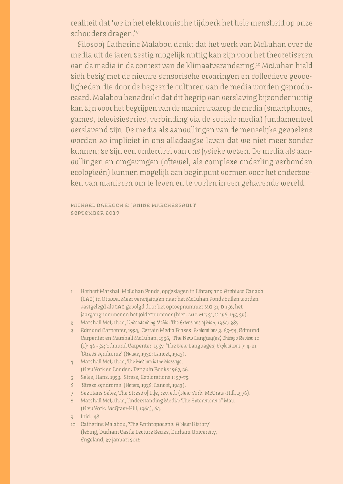realiteit dat 'we in het elektronische tijdperk het hele mensheid op onze schouders dragen.'<sup>9</sup>

Filosoof Catherine Malabou denkt dat het werk van McLuhan over de media uit de jaren zestig mogelijk nuttig kan zijn voor het theoretiseren van de media in de context van de klimaatverandering.10 McLuhan hield zich bezig met de nieuwe sensorische ervaringen en collectieve gevoeligheden die door de begeerde culturen van de media worden geproduceerd. Malabou benadrukt dat dit begrip van verslaving bijzonder nuttig kan zijn voor het begrijpen van de manier waarop de media (smartphones, games, televisieseries, verbinding via de sociale media) fundamenteel verslavend zijn. De media als aanvullingen van de menselijke gevoelens worden zo impliciet in ons alledaagse leven dat we niet meer zonder kunnen; ze zijn een onderdeel van ons fysieke wezen. De media als aanvullingen en omgevingen (oftewel, als complexe onderling verbonden ecologieën) kunnen mogelijk een beginpunt vormen voor het onderzoeken van manieren om te leven en te voelen in een gehavende wereld.

Michael Darroch & Janine Marchessault SEPTEMBER 2017

- 1 Herbert Marshall McLuhan Fonds, opgeslagen in Library and Archives Canada (LAC) in Ottawa. Meer verwijzingen naar het McLuhan Fonds zullen worden vastgelegd als LAC gevolgd door het oproepnummer MG 31, D 156, het jaargangnummer en het foldernummer (hier: LAC MG 31, D 156, 145, 35).
- 2 Marshall McLuhan, *Understanding Media: The Extensions of Man*, 1964: 287.
- 3 Edmund Carpenter, 1954, 'Certain Media Biases,' *Explorations* 3: 65-74; Edmund Carpenter en Marshall McLuhan, 1956, 'The New Languages,' *Chicago Review* 10 (1): 46–52; Edmund Carpenter, 1957, 'The New Languages,' *Explorations* 7: 4-21. 'Stress syndrome' (*Nature*, 1936; Lancet, 1943).
- 4 Marshall McLuhan, *The Medium is the Massage*, (New York en Londen: Penguin Books 1967, 26.
- 5 Selye, Hans. 1953. 'Stress,' Explorations 1: 57-75.
- 6 'Stress syndrome' (*Nature*, 1936; Lancet, 1943).
- 7 See Hans Selye, The Stress of Life, rev. ed. (New York: McGraw-Hill, 1976).
- 8 Marshall McLuhan, Understanding Media: The Extensions of Man (New York: McGraw-Hill, 1964), 64.
- 9 Ibid., 48.
- 10 Catherine Malabou, 'The Anthropocene: A New History' (lezing, Durham Castle Lecture Series, Durham University, Engeland, 27 januari 2016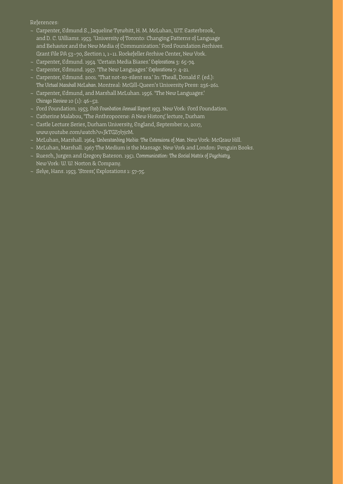#### References:

- Carpenter, Edmund S., Jaqueline Tyrwhitt, H. M. McLuhan, W.T. Easterbrook, and D. C. Williams. 1953. 'University of Toronto: Changing Patterns of Language and Behavior and the New Media of Communication.' Ford Foundation Archives. Grant File PA 53–70, Section 1, 1–11. Rockefeller Archive Center, New York.
- Carpenter, Edmund. 1954. 'Certain Media Biases.' *Explorations* 3: 65-74.
- Carpenter, Edmund. 1957. 'The New Languages.' *Explorations* 7: 4-21.
- Carpenter, Edmund. 2001. 'That not-so-silent sea.' In: Theall, Donald F. (ed.): *The Virtual Marshall McLuhan*. Montreal: McGill-Queen's University Press: 236-261.
- Carpenter, Edmund, and Marshall McLuhan. 1956. 'The New Languages.' *Chicago Review* 10 (1): 46–52.
- Ford Foundation. 1953. *Ford Foundation Annual Report 1953*. New York: Ford Foundation.
- Catherine Malabou, 'The Anthropocene: A New History,' lecture, Durham
- Castle Lecture Series, Durham University, England, September 10, 2017, www.youtube.com/watch?v=JkTGZ7l7jcM.
- McLuhan, Marshall. 1964. *Understanding Media: The Extensions of Man.* New York: McGraw Hill.
- McLuhan, Marshall. 1967 The Medium is the Massage. New York and London: Penguin Books.
- Ruesch, Jurgen and Gregory Bateson. 1951. *Communication: The Social Matrix of Psychiatry.*  New York: W. W. Norton & Company.
- Selye, Hans. 1953. 'Stress,' Explorations 1: 57-75.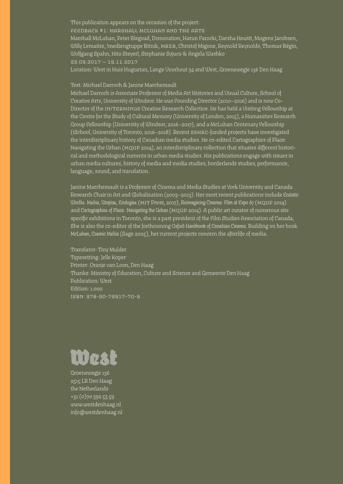This publication appears on the occasion of the project: feedback #1: marshall mcluhan and the arts Marshall McLuhan, Peter Blegvad, Disnovation, Harun Farocki, Darsha Hewitt, Mogens Jacobsen, Willy Lemaitre, !mediengruppe Bitnik, MRZB, Christof Migone, Reynold Reynolds, Thomas Bégin, Wolfgang Spahn, Hito Steyerl, Stephanie Syjuco & Angela Washko 22.09.2017 — 19.11.2017 Location: West in Huis Huguetan, Lange Voorhout 34 and West, Groenewegje 136 Den Haag

#### Text: Michael Darroch & Janine Marchessault

Michael Darroch is Associate Professor of Media Art Histories and Visual Culture, School of Creative Arts, University of Windsor. He was Founding Director (2010–2016) and is now Co-Director of the IN/TERMINUS Creative Research Collective. He has held a Visiting Fellowship at the Centre for the Study of Cultural Memory (University of London, 2015), a Humanities Research Group Fellowship (University of Windsor, 2016–2017), and a McLuhan Centenary Fellowship (iSchool, University of Toronto, 2016–2018). Recent SSHRC-funded projects have investigated the interdisciplinary history of Canadian media studies. He co-edited Cartographies of Place: Navigating the Urban (MQUP 2014), an interdisciplinary collection that situates different historical and methodological currents in urban media studies. His publications engage with issues in urban media cultures, history of media and media studies, borderlands studies, performance, language, sound, and translation.

Janine Marchessault is a Professor of Cinema and Media Studies at York University and Canada Research Chair in Art and Globalization (2003–2013). Her most recent publications include *Ecstatic Worlds: Media, Utopias, Ecologies* (MIT Press, 2017), *Reimagining Cinema: Film at Expo 67* (MQUP 2014) and *Cartographies of Place: Navigating the Urban* (MQUP 2014). A public art curator of numerous site specific exhibitions in Toronto, she is a past president of the Film Studies Association of Canada, She is also the co-editor of the forthcoming *Oxford Handbook of Canadian Cinema*. Building on her book *McLuhan, Cosmic Media* (Sage 2005), her current projects concern the afterlife of media.

Translator: Tiny Mulder Typesetting: Jelle Koper Printer: Oranje van Loon, Den Haag Thanks: Ministry of Education, Culture and Science and Gemeente Den Haag Publication: West Edition: 1.000 isbn: 978-90-79917-70-9

# *West*

Groenewegje 136 2515 LR Den Haag the Netherlands +31 (0)70 392 53 59 www.westdenhaag.nl info@westdenhaag.nl